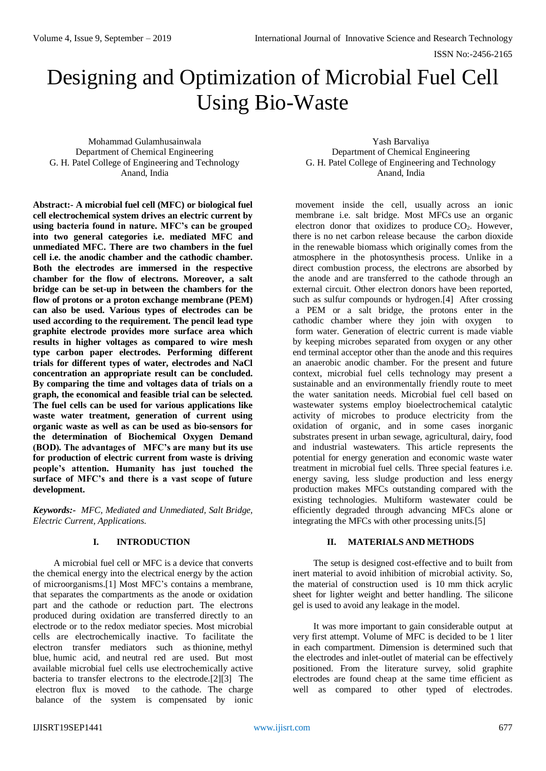ISSN No:-2456-2165

# Designing and Optimization of Microbial Fuel Cell Using Bio-Waste

Mohammad Gulamhusainwala Department of Chemical Engineering G. H. Patel College of Engineering and Technology Anand, India

**Abstract:- A microbial fuel cell (MFC) or biological fuel cell electrochemical system drives an electric current by using bacteria found in nature. MFC's can be grouped into two general categories i.e. mediated MFC and unmediated MFC. There are two chambers in the fuel cell i.e. the anodic chamber and the cathodic chamber. Both the electrodes are immersed in the respective chamber for the flow of electrons. Moreover, a salt bridge can be set-up in between the chambers for the flow of protons or a proton exchange membrane (PEM) can also be used. Various types of electrodes can be used according to the requirement. The pencil lead type graphite electrode provides more surface area which results in higher voltages as compared to wire mesh type carbon paper electrodes. Performing different trials for different types of water, electrodes and NaCl concentration an appropriate result can be concluded. By comparing the time and voltages data of trials on a graph, the economical and feasible trial can be selected. The fuel cells can be used for various applications like waste water treatment, generation of current using organic waste as well as can be used as bio-sensors for the determination of Biochemical Oxygen Demand (BOD). The advantages of MFC's are many but its use for production of electric current from waste is driving people's attention. Humanity has just touched the surface of MFC's and there is a vast scope of future development.**

*Keywords:- MFC, Mediated and Unmediated, Salt Bridge, Electric Current, Applications.*

## **I. INTRODUCTION**

A microbial fuel cell or MFC is a device that converts the chemical energy into the electrical energy by the action of microorganisms.[1] Most MFC's contains a membrane, that separates the compartments as the anode or oxidation part and the cathode or reduction part. The electrons produced during oxidation are transferred directly to an electrode or to the redox mediator species. Most microbial cells are electrochemically inactive. To facilitate the electron transfer mediators such as thionine, methyl blue, humic acid, and neutral red are used. But most available microbial fuel cells use electrochemically active bacteria to transfer electrons to the electrode. $[2][3]$  The electron flux is moved to the cathode. The charge balance of the system is compensated by ionic

Yash Barvaliya Department of Chemical Engineering G. H. Patel College of Engineering and Technology Anand, India

movement inside the cell, usually across an ionic membrane i.e. salt bridge. Most MFCs use an organic electron donor that oxidizes to produce  $CO<sub>2</sub>$ . However, there is no net carbon release because the carbon dioxide in the renewable biomass which originally comes from the atmosphere in the photosynthesis process. Unlike in a direct combustion process, the electrons are absorbed by the anode and are transferred to the cathode through an external circuit. Other electron donors have been reported, such as sulfur compounds or hydrogen.[4] After crossing a PEM or a salt bridge, the protons enter in the cathodic chamber where they join with oxygen to form water. Generation of electric current is made viable by keeping microbes separated from oxygen or any other end terminal acceptor other than the anode and this requires an anaerobic anodic chamber. For the present and future context, microbial fuel cells technology may present a sustainable and an environmentally friendly route to meet the water sanitation needs. Microbial fuel cell based on wastewater systems employ bioelectrochemical catalytic activity of microbes to produce electricity from the oxidation of organic, and in some cases inorganic substrates present in urban sewage, agricultural, dairy, food and industrial wastewaters. This article represents the potential for energy generation and economic waste water treatment in microbial fuel cells. Three special features i.e. energy saving, less sludge production and less energy production makes MFCs outstanding compared with the existing technologies. Multiform wastewater could be efficiently degraded through advancing MFCs alone or integrating the MFCs with other processing units.[5]

#### **II. MATERIALS AND METHODS**

The setup is designed cost-effective and to built from inert material to avoid inhibition of microbial activity. So, the material of construction used is 10 mm thick acrylic sheet for lighter weight and better handling. The silicone gel is used to avoid any leakage in the model.

It was more important to gain considerable output at very first attempt. Volume of MFC is decided to be 1 liter in each compartment. Dimension is determined such that the electrodes and inlet-outlet of material can be effectively positioned. From the literature survey, solid graphite electrodes are found cheap at the same time efficient as well as compared to other typed of electrodes.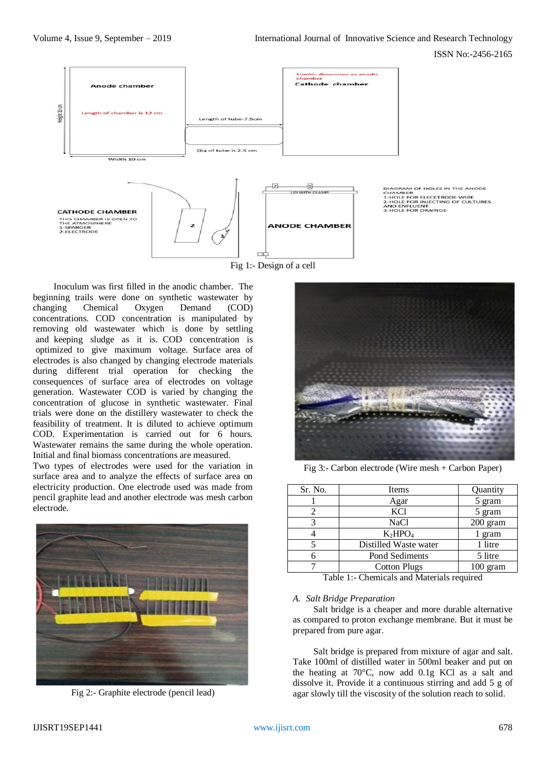

DIAGRAM OF HOLES IN THE ANODE<br>CHAMBER<br>1-HOLE FOR ELECETRODE WIRE<br>2-HOLE FOR INJECTING OF CULTURES<br>AND ENFLUENT<br>3-HOLE FOR DRAINGE

Inoculum was first filled in the anodic chamber. The beginning trails were done on synthetic wastewater by changing Chemical Oxygen Demand (COD) concentrations. COD concentration is manipulated by removing old wastewater which is done by settling and keeping sludge as it is. COD concentration is optimized to give maximum voltage. Surface area of electrodes is also changed by changing electrode materials during different trial operation for checking the consequences of surface area of electrodes on voltage generation. Wastewater COD is varied by changing the concentration of glucose in synthetic wastewater. Final trials were done on the distillery wastewater to check the feasibility of treatment. It is diluted to achieve optimum COD. Experimentation is carried out for 6 hours. Wastewater remains the same during the whole operation. Initial and final biomass concentrations are measured.

Two types of electrodes were used for the variation in surface area and to analyze the effects of surface area on electricity production. One electrode used was made from pencil graphite lead and another electrode was mesh carbon electrode.



Fig 2:- Graphite electrode (pencil lead)



Fig 3:- Carbon electrode (Wire mesh + Carbon Paper)

| Sr. No. | Items                 | Quantity   |
|---------|-----------------------|------------|
|         | Agar                  | 5 gram     |
|         | <b>KCl</b>            | 5 gram     |
|         | <b>NaCl</b>           | $200$ gram |
|         | $K_2HPO4$             | 1 gram     |
|         | Distilled Waste water | 1 litre    |
| 6       | Pond Sediments        | 5 litre    |
|         | <b>Cotton Plugs</b>   | $100$ gram |

Table 1:- Chemicals and Materials required

#### *A. Salt Bridge Preparation*

Salt bridge is a cheaper and more durable alternative as compared to proton exchange membrane. But it must be prepared from pure agar.

Salt bridge is prepared from mixture of agar and salt. Take 100ml of distilled water in 500ml beaker and put on the heating at 70°C, now add 0.1g KCl as a salt and dissolve it. Provide it a continuous stirring and add 5 g of agar slowly till the viscosity of the solution reach to solid.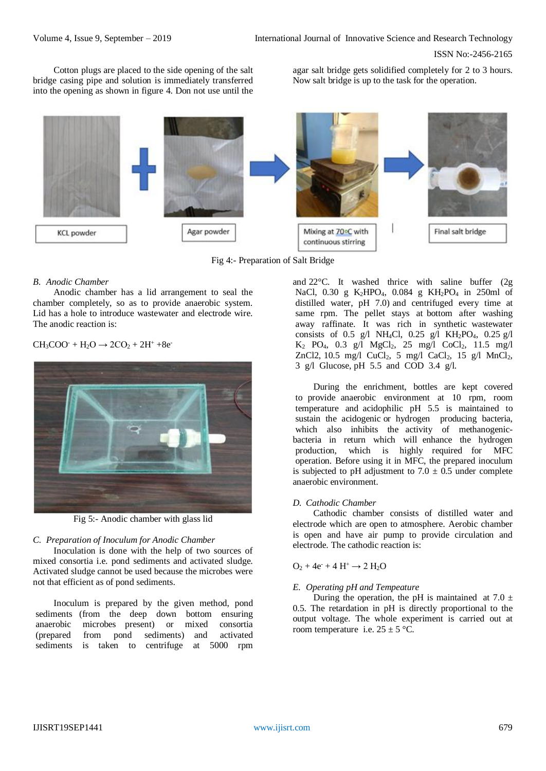Cotton plugs are placed to the side opening of the salt bridge casing pipe and solution is immediately transferred into the opening as shown in figure 4. Don not use until the agar salt bridge gets solidified completely for 2 to 3 hours. Now salt bridge is up to the task for the operation.



Fig 4:- Preparation of Salt Bridge

## *B. Anodic Chamber*

Anodic chamber has a lid arrangement to seal the chamber completely, so as to provide anaerobic system. Lid has a hole to introduce wastewater and electrode wire. The anodic reaction is:

 $CH<sub>3</sub>COO<sup>-</sup> + H<sub>2</sub>O \rightarrow 2CO<sub>2</sub> + 2H<sup>+</sup> +8e<sup>-</sup>$ 



Fig 5:- Anodic chamber with glass lid

#### *C. Preparation of Inoculum for Anodic Chamber*

Inoculation is done with the help of two sources of mixed consortia i.e. pond sediments and activated sludge. Activated sludge cannot be used because the microbes were not that efficient as of pond sediments.

Inoculum is prepared by the given method, pond sediments (from the deep down bottom ensuring anaerobic microbes present) or mixed consortia i(prepared ifrom ipond isediments) and iactivated sediments is taken to centrifuge at 5000 rpm

and  $22^{\circ}$ C. It washed thrice with saline buffer (2g NaCl, 0.30 g  $K_2HPO_4$ , 0.084 g  $KH_2PO_4$  in 250ml of distilled water,  $pH$  7.0) and centrifuged every time at same rpm. The pellet stays at bottom after washing away raffinate. It was rich in synthetic wastewater consists of 0.5 g/l NH<sub>4</sub>Cl, 0.25 g/l KH<sub>2</sub>PO<sub>4</sub>, 0.25 g/l  $K_2$  PO<sub>4</sub>, 0.3 g/l MgCl<sub>2</sub>, 25 mg/l CoCl<sub>2</sub>, 11.5 mg/l ZnCl2, 10.5 mg/l CuCl<sub>2</sub>, 5 mg/l CaCl<sub>2</sub>, 15 g/l  $MnCl<sub>2</sub>$ , 3 g/l Glucose, pH  $5.5$  and  $\overrightarrow{COD}$  3.4 g/l.

During the enrichment, bottles are kept covered to provide anaerobic environment at 10 rpm, room temperature and acidophilic  $pH$  5.5 is maintained to sustain the acidogenic or hydrogen producing bacteria, which also inhibits the activity of methanogenicbacteria in return which will enhance the hydrogen production, which is highly required for MFC ioperation. Before using it in MFC, the prepared inoculum is subjected to pH adjustment to  $7.0 \pm 0.5$  under complete anaerobic environment.

### *D. Cathodic Chamber*

Cathodic chamber consists of distilled water and electrode which are open to atmosphere. Aerobic chamber is open and have air pump to provide circulation and electrode. The cathodic reaction is:

## $O_2 + 4e^+ + 4H^+ \rightarrow 2H_2O$

#### *E. Operating pH and Tempeature*

During the operation, the pH is maintained at 7.0  $\pm$ 0.5. The retardation in pH is directly proportional to the output voltage. The whole experiment is carried out at room temperature i.e.  $25 \pm 5$  °C.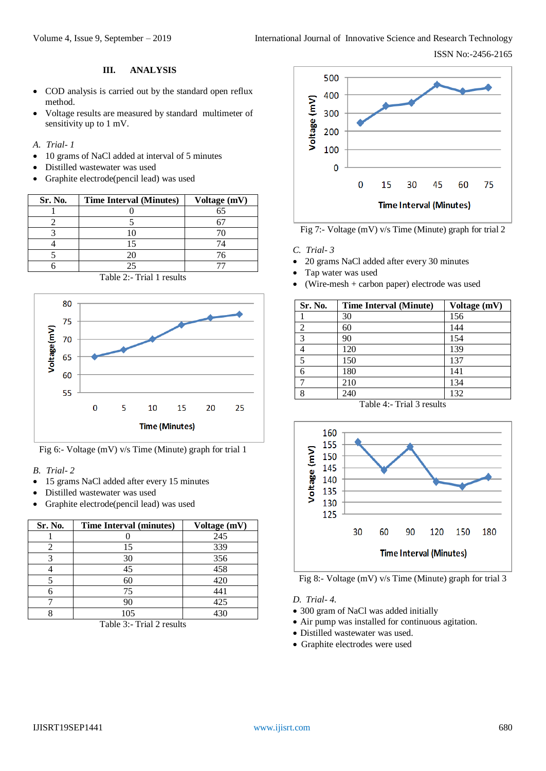ISSN No:-2456-2165

## **III. ANALYSIS**

- COD analysis is carried out by the standard open reflux method.
- Voltage results are measured by standard multimeter of sensitivity up to 1 mV.
- *A. Trial- 1*
- 10 grams of NaCl added at interval of 5 minutes
- Distilled wastewater was used
- Graphite electrode(pencil lead) was used

| Sr. No. | <b>Time Interval (Minutes)</b> | Voltage (mV) |
|---------|--------------------------------|--------------|
|         |                                | 65           |
|         |                                |              |
|         |                                |              |
|         | 15                             |              |
|         | 20                             | 76           |
|         | 25                             |              |





Fig 6:- Voltage (mV) v/s Time (Minute) graph for trial 1

- *B. Trial- 2*
- 15 grams NaCl added after every 15 minutes
- Distilled wastewater was used
- Graphite electrode(pencil lead) was used

| Sr. No. | <b>Time Interval (minutes)</b> | Voltage (mV) |
|---------|--------------------------------|--------------|
|         |                                | 245          |
|         | 15                             | 339          |
|         | 30                             | 356          |
|         | 45                             | 458          |
|         | 60                             | 420          |
|         | 75                             | 441          |
|         | 90                             | 425          |
|         | 105                            | 430          |

Table 3:- Trial 2 results



Fig 7:- Voltage (mV) v/s Time (Minute) graph for trial 2

- *C. Trial- 3*
- 20 grams NaCl added after every 30 minutes
- Tap water was used
- (Wire-mesh + carbon paper) electrode was used

| Sr. No. | <b>Time Interval (Minute)</b> | Voltage (mV) |
|---------|-------------------------------|--------------|
|         | 30                            | 156          |
| 2       | 60                            | 144          |
| 3       | 90                            | 154          |
| 4       | 120                           | 139          |
| 5       | 150                           | 137          |
| 6       | 180                           | 141          |
|         | 210                           | 134          |
| 8       | 240                           | 132          |

Table 4:- Trial 3 results



Fig 8:- Voltage (mV) v/s Time (Minute) graph for trial 3

## *D. Trial- 4.*

- 300 gram of NaCl was added initially
- Air pump was installed for continuous agitation.
- Distilled wastewater was used.
- Graphite electrodes were used